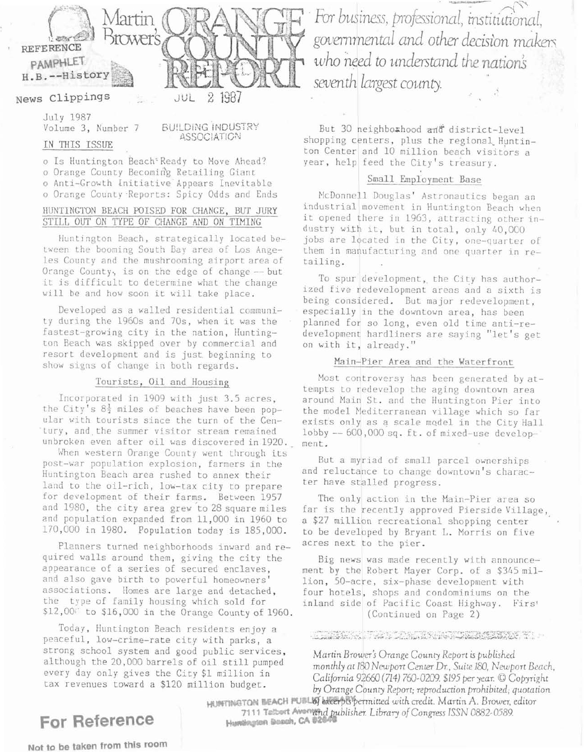

JUL

# News Clippings

July 1987 Volume 3, Number 7

BUILDING INDUSTRY **ASSOCIATION** 

## IN THIS ISSUE

o Is Huntington Beach<sup>®</sup> Ready to Move Ahead? o Orange County Becoming Retailing Giant o Anti-Growth Initiative Appears Inevitable o Orange County Reports: Spicy Odds and Ends

#### HUNTINGTON BEACH POISED FOR CHANGE, BUT JURY STILL OUT ON TYPE OF CHANGE AND ON TIMING

Huntington Beach, strategically located between the booming South Bay area of Los Angeles County and the mushrooming airport area of Orange County, is on the edge of change -- but it is difficult to determine what the change will be and how soon it will take place.

Developed as a walled residential community during the 1960s and 70s, when it was the fastest-growing city in the nation, Huntington Beach was skipped over by commercial and resort development and is just beginning to show signs of change in both regards.

#### Tourists, Oil and Housing

Incorporated in 1909 with just 3.5 acres. the City's  $8\frac{1}{2}$  miles of beaches have been popular with tourists since the turn of the Century, and the summer visitor stream remained unbroken even after oil was discovered in 1920.

When western Orange County went through its post-war population explosion, farmers in the Huntington Beach area rushed to annex their land to the oil-rich, low-tax city to prepare for development of their farms. Between 1957 and 1980, the city area grew to 28 square miles and population expanded from 11,000 in 1960 to 170,000 in 1980. Population today is 185,000.

Planners turned neighborhoods inward and required walls around them, giving the city the appearance of a series of secured enclaves, and also gave birth to powerful homeowners' associations. Homes are large and detached, the type of family housing which sold for \$12,00" to \$16,000 in the Orange County of 1960.

Today, Huntington Beach residents enjoy a peaceful, low-crime-rate city with parks, a strong school system and good public services, although the 20,000 barrels of oil still pumped every day only gives the City \$1 million in tax revenues toward a \$120 million budget.

For business, professional, institutional, governmental and other decision makers who need to understand the nation's seventh largest county.

But 30 neighborhood and district-level shopping centers, plus the regional Huntinton Center and 10 million beach visitors a year, help feed the City's treasury.

### Small Employment Base

McDonnell Douglas' Astronautics began an industrial movement in Huntington Beach when it opened there in 1963, attracting other industry with it, but in total, only 40,000 jobs are located in the City, one-quarter of them in manufacturing and one quarter in retailing.

To spur development, the City has authorized five redevelopment areas and a sixth is being considered. But major redevelopment, especially in the downtown area, has been planned for so long, even old time anti-redevelopment hardliners are saying "let's get on with it, already."

#### Main-Pier Area and the Waterfront

Most controversy has been generated by attempts to redevelop the aging downtown area around Main St. and the Huntington Pier into the model Mediterranean village which so far exists only as a scale model in the City Hall lobby -- 600,000 sq. ft. of mixed-use development.

But a myriad of small parcel ownerships and reluctance to change downtown's character have stalled progress.

The only action in the Main-Pier area so far is the recently approved Pierside Village, a \$27 million recreational shopping center to be developed by Bryant L. Morris on five acres next to the pier.

Big news was made recently with announcement by the Robert Mayer Corp. of a \$345 million, 50-acre, six-phase development with four hotels, shops and condominiums on the inland side of Pacific Coast Highway. Firs' (Continued on Page 2)

#### 

Martin Brower's Orange County Report is published monthly at 180 Newport Center Dr., Suite 180, Newport Beach, California 92660 (714) 760-0209. \$195 per year. © Copyright by Orange County Report; reproduction prohibited; quotation

HUNTINGTON BEACH PUBLIST excerpts permitted with credit. Martin A. Brower, editor 7111 Talbort Avenund publisher. Library of Congress ISSN 0882-0589. Humbrigton Bosch, CA 82

# For Reference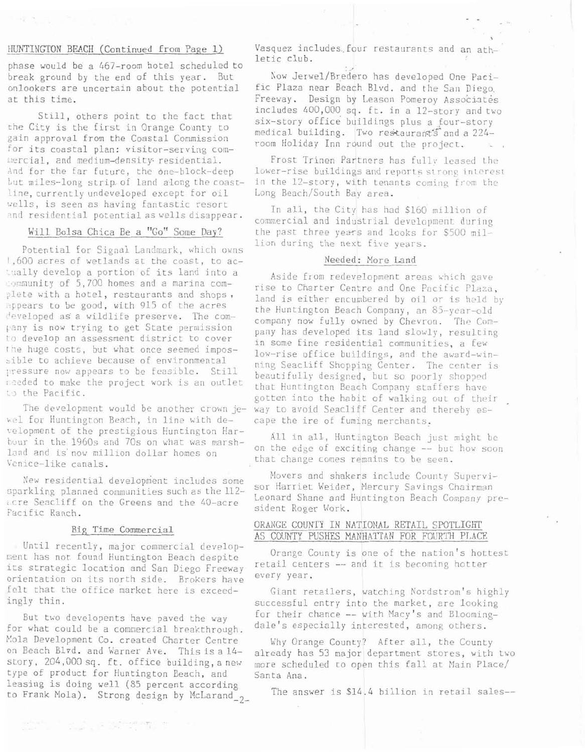#### HUNTINGTON BEACH (Continued from Page 1)

phase would be a 467-room hotel scheduled to break ground by the end of this year. But onlookers are uncertain about the potential at this time.

Still, others point to the fact that the City is the first in Orange County to gain approval from the Coastal Commission for its coastal plan: visitor-serving commercial, and medium-density-residential. And for the far future, the one-block-deep but miles-long strip of land along the coastline, currently undeveloped except for oil wells, is seen as having fantastic resort and residential potential as wells disappear.

#### Will. Eolsa Chica Be a "Go" Some Day?

Potential for Signal Landmark, which owns !,600 acres of wetlands at the coast, to ac tually develop a portion of its land into a community of 5,700 homes and a marina complete with a hotel, restaurants and shops, :ppears to be good, with 915 of the acres developed as a wildlife preserve. The company is now trying to get State permission to develop an assessment district to cover the huge costs, but what once seemed impossible to achieve because of environmental pressure now appears to be feasible. Still ieeded to make the project work is an outlet to the Pacific.

The development would be another crown jewel for Huntington Beach, in line with de-~clopment of the prestigious Huntington Harbour in the 1960s and 70s on what was marshland and is now million dollar homes on Venice-like canals.

New residential development includes some sparkling planned communities such as the 112parking planned communities such as the 112<br>cre Seacliff on the Greens and the 40-acre<br>acific Ranch.

Until recently, major commercial developits strategic location and San Diego Freeway<br>orientation on its porth side. Brokens have every year. orientation on its north side. Brokers have fclt that the office market here is exceedingly thin.

But two developents have paved the way for what could be a comnercial breakthrough. Mola Development Co. created Charter Centre on Eeach Blvd. and Warner Ave. Thisisa14 story, 204,000 sq. ft. office building, a new type of product for Huntington Beach, and leasing is doing well (85 percent according to Frank Mola). Strong design by McLarand<sub>2</sub>

**The Committee of the Committee of the Committee** 

Vasquez includes. four restaurants and an athletic club.

Now Jerwel/Bredero has developed One Pacific Plaza near Beach Blvd. and the San Diego. Freeway. Design by Leason Pomeroy Associates includes 400,000 sq. ft. in a 12-story and two six-story office buildings plus a four-story medical building. Two restaurants and a 224room Holiday Inn round out the project.

Frost Trinen Partners has fully leased the lower-rise buildings and reports strong interest in the 12-story, with tenants coming from the Long Beach/South Bay area.

In all, the City has had \$160 million of commercial and industrial development during the past three years and looks for \$500 million during the next five years.

#### Needed: More land

Aside from redevelopment areas which gave rise to Charter Centre and One Pacific Plaza, land is either encumbered by oil or is held by the Huntington Beach Company, an 85-year-old company now fully owned by Chevron. The Company has developed its land slowly, resulting in some fine residential communities, a few low-rise office buildings, and the award-winning Seacliff Shopping Center. The center is beautifully designed, but so poorly shopped that Huntington Beach Company staffers have gotten into the habit of walking out of their way to avoid Seacliff Center and thereby escape the ire of fuming merchants.

All in all, Huntington Eeach just might be on the edge of exciting change -- but how soon that change comes remains to be seen.

Movers and shakers include County Supervisor Harriet Weider, Mercury Savings Chairman Leonard Shane and Huntington Beach Company president Roger Work.

#### Big Time Commercial ORANGE COUNTY IN NATIONAL RETAIL SPOTLIGHT AS COUNTY PUSHES MANHATTAN FOR FOURTH PLACE

ment has not found Huntington Beach despite Orange County is one of the nation's hottest

Giant retailers, watching Nordstrom's highly successful entry into the market, are looking for their chance -- with Macy's and Eloomingdale's especially interested, among others.

Why Orange County? After all, the County already has 53 major department stores, with two more scheduled to open this fall at Main Place/ Santa Ana.

The answer is *\$14.4* billion in retail sales--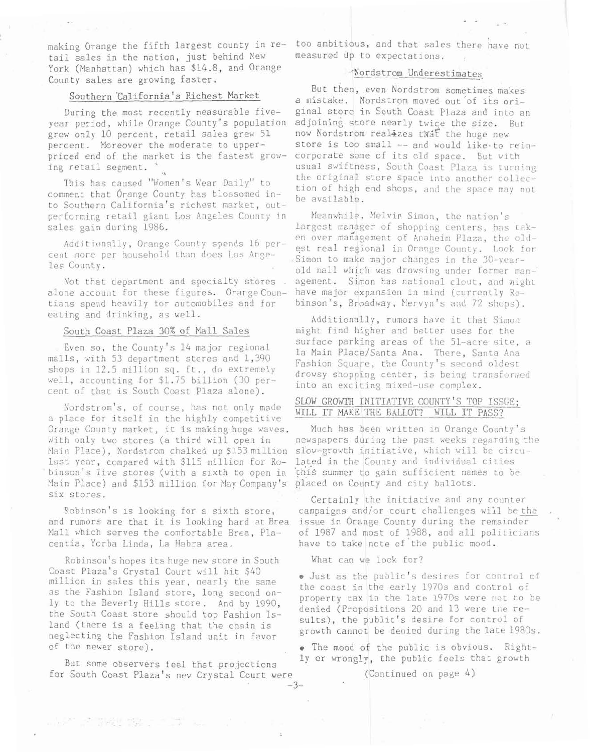making Orange the fifth largest county in retail sales in the nation, just behind New York (Manhattan) which has \$14.8, and Orange County sales are growing faster.

#### Southern 'California's Richest Market

During the most recently measurable fiveyear period, while Orange County's population adjoining store nearly twice the size. But grew only 10 percent, retail sales grew 51 percent. Moreover the moderate to upperpriced end of the market is the fastest grow-<br>ing retail segment. '

This has caused "Women's Wear Daily" to comment that Orange County has blossomed into Southern California's richest market, outperforming retail giant Los Angeles County in Meanwhile, Melvin Simon, the nation's

alone account for these figures. Orange Coun- have major expansion in mind (currently Rotians spend heavily for automobiles and for binson's, Broadway, Mervyn's and 72 shops). eating and drinking, as well.  $\qquad \qquad$  Additionally, rumors have it that Simon

a place for itself in the highly competitive<br>Orange County market, it is making huge waves. With only two stores (a third will open in Main Place), Nordstrom chalked up \$153 million last year, compared with \$115 million for Robinson's five stores (with a sixth to open in Main Place) and \$153 million for May Company's six stores.

Robinson's is looking for a sixth store, and rumors are that it is looking hard at Brea Wall which serves the comfortable Brea, Placentia, Yorba Linda, La Habra area.

Robinson's hopes its huge new store in South What can we look for? Coast Plaza's Crystal Court will hit \$40 **e** Just as the public's desires for control of million in sales this year, nearly the same the coast in the early 1970s and control of as the Fashion Island store, long second on-Iy to the Beverly Hills store, And by 1990,<br>the South Coast store should top Fashion Is-<br>land (there is a feeling that the chain is<br>neglecting the Fashion Island unit in favor<br>neglecting the Fashion Island unit in favor of the newer store).  $\bullet$  The mood of the public is obvious. Right-

for South Coast Plaza's new Crystal Court were (Continued on page 4)

too ambitious, and that sales there have not measured up to expectations.

### -'Nordstrom Underestimates

But then, even Nordstrom sometimes makes a mistake. Nordstrom moved out of its original store in South Coast Plaza and into an now Nordstrom real-zes that the huge new store is too small -- and would like-to reincorporate some of its old space. But with usual swiftness, South Coast Plaza is turning the original store space into another collection of high end shops, and the space may not be available.

sales gain during 1986. **i i** largest manager of shopping centers, has taken over management of Anaheim Plaza, the old-Additionally, Orange County spends 16 per-<br>cent more per household than does Los Ange-<br>les County.<br>dd mall which was drowsing under former man-Not that department and specialty stores . agement. Simon has national clout, and might

South Coast Plaza 30% of Mall Sales might find higher and better uses for the Even so, the County's 14 major regional<br>
malls, with 53 department stores and 1,390<br>
shops in 12.5 million sq. ft., do extremely<br>
well, accounting for \$1.75 billion (30 per-<br>
tent of that is South Coast Plaza alone).

# Nordstrom's, of course, has not only made SLOW GROWTH INITIATIVE COUNTY'S TOP ISSUE;

Much has been written in Orange County's newspapers during the past weeks regarding the slow-growth initiative, which will be circulated in the County and individual cities this summer to gain sufficient names to be .placed on County and city ballots.

Certainly the initiative and any counter campaigns and/or court challenges will be the issue in Orange County during the remainder of 1957 and most of 1988, and all politicians have to take note of'the public mood.

 $-3-$ 

ly or wrongly, the public feels that growth But some observers feel that projections